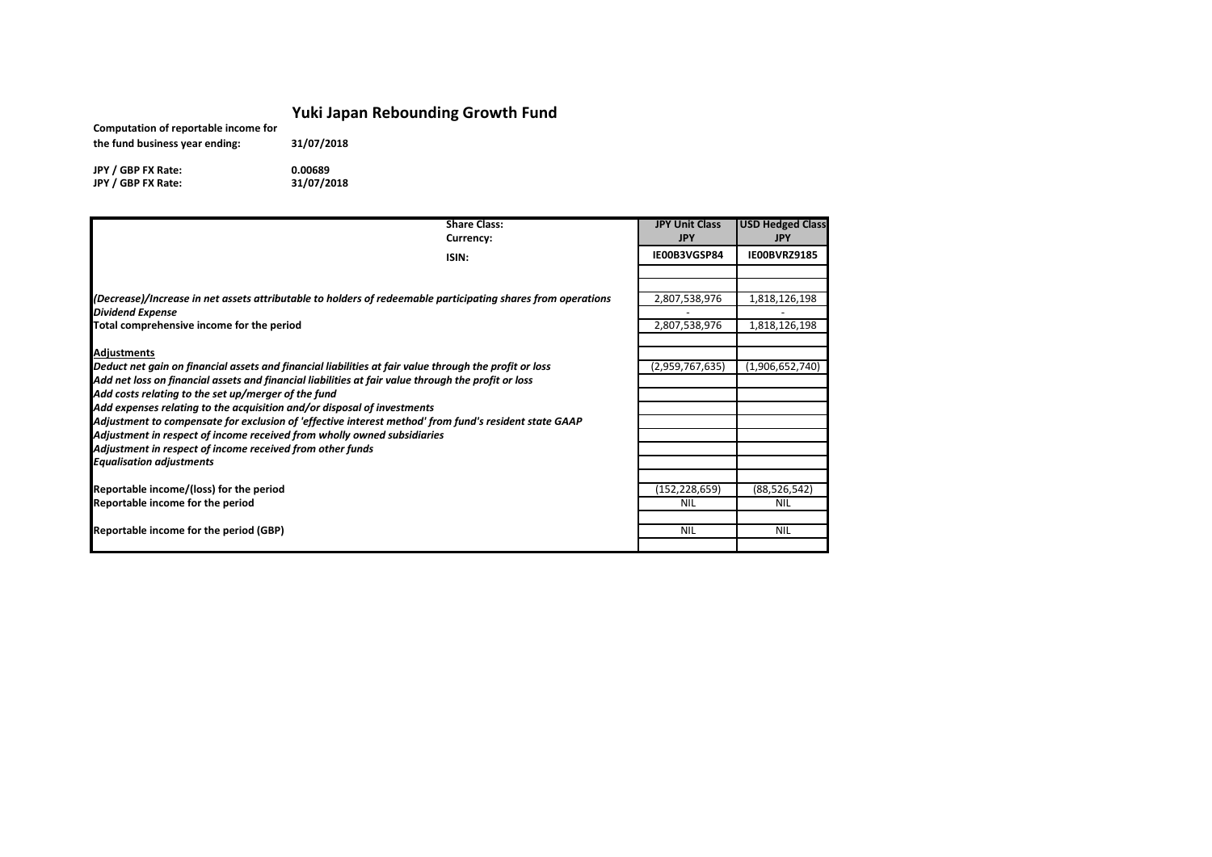## **Yuki Japan Rebounding Growth Fund**

| Computation of reportable income for | <b>LAM JAMALLING</b> |  |
|--------------------------------------|----------------------|--|
| the fund business year ending:       | 31/07/2018           |  |
| JPY / GBP FX Rate:                   | 0.00689              |  |
| JPY / GBP FX Rate:                   | 31/07/2018           |  |

| <b>Share Class:</b>                                                                                          | <b>JPY Unit Class</b> | <b>USD Hedged Class</b> |
|--------------------------------------------------------------------------------------------------------------|-----------------------|-------------------------|
| Currency:                                                                                                    | <b>JPY</b>            | <b>JPY</b>              |
| ISIN:                                                                                                        | IE00B3VGSP84          | IE00BVRZ9185            |
|                                                                                                              |                       |                         |
|                                                                                                              |                       |                         |
| (Decrease)/Increase in net assets attributable to holders of redeemable participating shares from operations | 2,807,538,976         | 1,818,126,198           |
| <b>Dividend Expense</b>                                                                                      |                       |                         |
| Total comprehensive income for the period                                                                    | 2,807,538,976         | 1,818,126,198           |
| <b>Adjustments</b>                                                                                           |                       |                         |
| Deduct net gain on financial assets and financial liabilities at fair value through the profit or loss       | (2,959,767,635)       | (1,906,652,740)         |
| Add net loss on financial assets and financial liabilities at fair value through the profit or loss          |                       |                         |
| Add costs relating to the set up/merger of the fund                                                          |                       |                         |
| Add expenses relating to the acquisition and/or disposal of investments                                      |                       |                         |
| Adjustment to compensate for exclusion of 'effective interest method' from fund's resident state GAAP        |                       |                         |
| Adjustment in respect of income received from wholly owned subsidiaries                                      |                       |                         |
| Adjustment in respect of income received from other funds                                                    |                       |                         |
| <b>Equalisation adjustments</b>                                                                              |                       |                         |
|                                                                                                              |                       |                         |
| Reportable income/(loss) for the period                                                                      | (152, 228, 659)       | (88, 526, 542)          |
| Reportable income for the period                                                                             | <b>NIL</b>            | <b>NIL</b>              |
|                                                                                                              |                       |                         |
| Reportable income for the period (GBP)                                                                       | <b>NIL</b>            | <b>NIL</b>              |